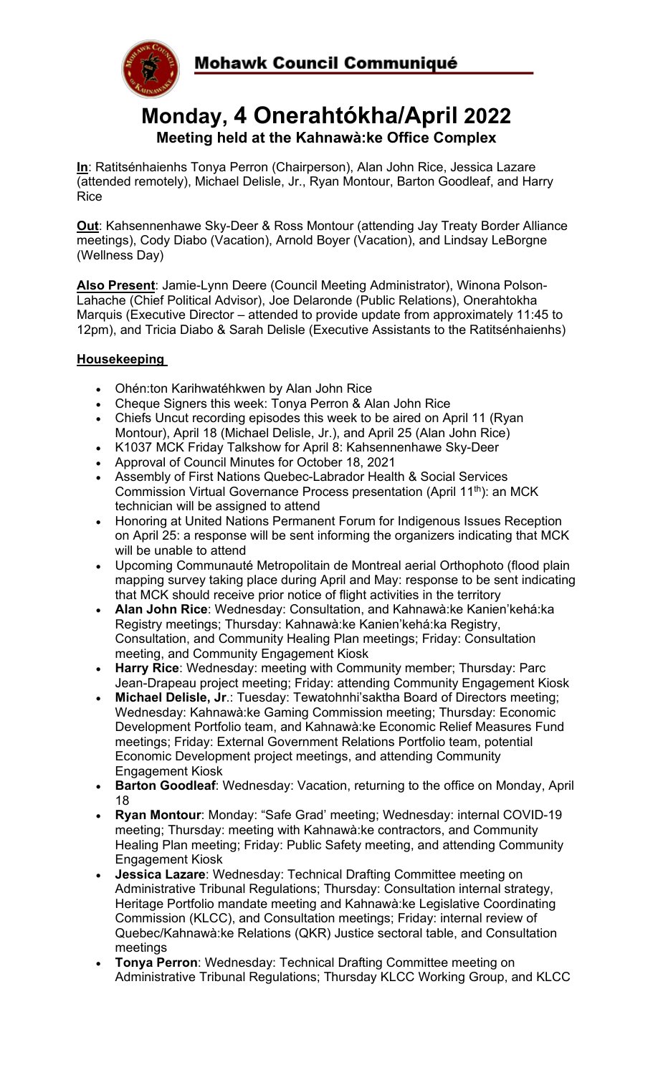



# **Monday, 4 Onerahtókha/April 2022 Meeting held at the Kahnawà:ke Office Complex**

**In**: Ratitsénhaienhs Tonya Perron (Chairperson), Alan John Rice, Jessica Lazare (attended remotely), Michael Delisle, Jr., Ryan Montour, Barton Goodleaf, and Harry Rice

**Out**: Kahsennenhawe Sky-Deer & Ross Montour (attending Jay Treaty Border Alliance meetings), Cody Diabo (Vacation), Arnold Boyer (Vacation), and Lindsay LeBorgne (Wellness Day)

**Also Present**: Jamie-Lynn Deere (Council Meeting Administrator), Winona Polson-Lahache (Chief Political Advisor), Joe Delaronde (Public Relations), Onerahtokha Marquis (Executive Director – attended to provide update from approximately 11:45 to 12pm), and Tricia Diabo & Sarah Delisle (Executive Assistants to the Ratitsénhaienhs)

### **Housekeeping**

- Ohén:ton Karihwatéhkwen by Alan John Rice
- Cheque Signers this week: Tonya Perron & Alan John Rice
- Chiefs Uncut recording episodes this week to be aired on April 11 (Ryan Montour), April 18 (Michael Delisle, Jr.), and April 25 (Alan John Rice)
- K1037 MCK Friday Talkshow for April 8: Kahsennenhawe Sky-Deer
- Approval of Council Minutes for October 18, 2021
- Assembly of First Nations Quebec-Labrador Health & Social Services Commission Virtual Governance Process presentation (April 11<sup>th</sup>): an MCK technician will be assigned to attend
- Honoring at United Nations Permanent Forum for Indigenous Issues Reception on April 25: a response will be sent informing the organizers indicating that MCK will be unable to attend
- Upcoming Communauté Metropolitain de Montreal aerial Orthophoto (flood plain mapping survey taking place during April and May: response to be sent indicating that MCK should receive prior notice of flight activities in the territory
- **Alan John Rice**: Wednesday: Consultation, and Kahnawà:ke Kanien'kehá:ka Registry meetings; Thursday: Kahnawà:ke Kanien'kehá:ka Registry, Consultation, and Community Healing Plan meetings; Friday: Consultation meeting, and Community Engagement Kiosk
- **Harry Rice**: Wednesday: meeting with Community member; Thursday: Parc Jean-Drapeau project meeting; Friday: attending Community Engagement Kiosk
- **Michael Delisle, Jr**.: Tuesday: Tewatohnhi'saktha Board of Directors meeting; Wednesday: Kahnawà:ke Gaming Commission meeting; Thursday: Economic Development Portfolio team, and Kahnawà:ke Economic Relief Measures Fund meetings; Friday: External Government Relations Portfolio team, potential Economic Development project meetings, and attending Community Engagement Kiosk
- **Barton Goodleaf**: Wednesday: Vacation, returning to the office on Monday, April 18
- **Ryan Montour**: Monday: "Safe Grad' meeting; Wednesday: internal COVID-19 meeting; Thursday: meeting with Kahnawà:ke contractors, and Community Healing Plan meeting; Friday: Public Safety meeting, and attending Community Engagement Kiosk
- **Jessica Lazare**: Wednesday: Technical Drafting Committee meeting on Administrative Tribunal Regulations; Thursday: Consultation internal strategy, Heritage Portfolio mandate meeting and Kahnawà:ke Legislative Coordinating Commission (KLCC), and Consultation meetings; Friday: internal review of Quebec/Kahnawà:ke Relations (QKR) Justice sectoral table, and Consultation meetings
- **Tonya Perron**: Wednesday: Technical Drafting Committee meeting on Administrative Tribunal Regulations; Thursday KLCC Working Group, and KLCC